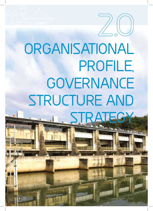

# **ORGANISATIONAL PROFILE, GOVERNANCE STRUCTURE AND STRATEGY**

6

6 UM G E N I WATE R • AM AN Z I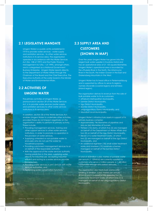#### **2.1 LEGISLATIVE MANDATE**

Umgeni Water is a public entity established in 1974 to provide water services - water supply and sanitation services - to other water services institutions in its service area. The organisation operates in accordance with the Water Services Act (No. 108 of 1997) and the Public Finance Management Act (No. 1 of 1999), amongst others, and is categorised as a National Government Business Enterprise. Umgeni Water reports directly to the Department of Water Affairs through the Chairman of the Board and the Chief Executive. The Executive Authority of the water board is the Minster of Water and Environmental Affairs.

### **2.2 ACTIVITIES OF UMGENI WATER**

The primary activities of Umgeni Water, as pronounced in section 29 of the Water Services Act, is to provide water services (water supply and sanitation services) to other water services institutions in its service area.

In addition, section 30 of the Water Services Act, enables Umgeni Water to undertake other activities, provided these do not impact negatively on the organisation's ability to perform its primary activity. These include:

- Providing management services, training and other support services to other water services institutions, in order to promote co-operation in the provision of water services,
- Supplying untreated or non-potable water to end-users who do not use the water for household purposes,
- Providing catchment management services to or on behalf of the responsible authority,
- With the approval of the water services authority having jurisdiction in the area, supplying water directly for industrial use, accepting industrial effluent and acting as a water services provider to consumers,
- Providing water services in joint venture with water services authorities, and
- Performing water conservation functions.

# **2.3 SUPPLY AREA AND CUSTOMERS (SHOWN IN MAP)**

Over the years Umgeni Water has grown into the largest bulk water supplier in KwaZulu-Natal and has an operational area of 21 155 square kilometres. Umgeni Water's operational area is bounded by the uThukela River in the North, the Mtamvuna River in the South, the Indian Ocean in the East and Drakensberg Mountains in the West.

Umgeni Water has its head office in Pietermaritzburg and is supported by offices to serve its regions, namely Ulwandle (coastal region) and Izintaba (inland region).

The organisation derives its revenue from the sale of bulk potable water to its six customers:

- eThekwini Metropolitan Municipality,
- iLembe District Municipality,
- Ugu District Municipality,
- Sisonke District Municipality,
- uMgungundlovu District Municipality, and
- Msunduzi Local Municipality.

Umgeni Water's infrastructure assets in support of its primary business comprise:

- Approximately 746 kilometres of pipelines and sixty-six (66) kilometres of tunnels,
- Thirteen (13) dams, of which five (5) are managed on behalf of the Department of Water Affairs and two (2) on behalf of the Ugu District Municipality,
- Eleven (11) water treatment works, of which two (2) are managed on behalf of the Ugu District Municipality, and
- An additional eighteen (18) small water treatment works and nineteen (19) borehole schemes managed on behalf of the iLembe District Municipality.

A total of 423million cubic metres of potable water per annum (1 159Ml/d) are currently supplied to customers who serve 6.1million people or 1.68million households through reticulation networks.

The organisation also treats bulk wastewater totalling 31.8million cubic metres per annum (87Ml/d) and in support of this operates five (5) wastewater treatment works, of which one (1) is managed on behalf of the uMgungundlovu District Municipality.

7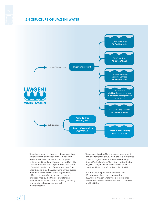#### **2.4 STRUCTURE OF UMGENI WATER**



There have been no changes in the organisation's structure in the past year, which, in addition to the Office of the Chief Executive, comprises divisions for: Operations, Engineering and Scientific Services, Finance, and Corporate Services, each of which is headed by a General Manager. The Chief Executive, as the Accounting Officer, guides the day-to-day activities of the organisation, while a non-executive Board, whose members are appointed by the Minister of Water and Environmental Affairs, is the Accounting Authority and provides strategic leadership to the organisation.

The organisation has 976 employees (permanent and contract) in its group. There are two subsidiaries in which Umgeni Water has 100% shareholding, Umgeni Water Services (Pty) Ltd and Msinsi Holdings (Pty) Ltd. Umgeni Water Services holds an 18.5% investment in Durban Water Recycling (Pty) Ltd.

In 2012/2013, Umgeni Water's income was R2.1billion and the surplus generated was R583million. Umgeni Water has a total balancesheet asset value of R5.9billion of which its reserves total R3.7billion.

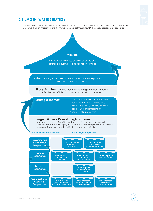#### **2.5 UMGENI WATER STRATEGY**

Umgeni Water's current strategy map, updated in February 2013, illustrates the manner in which sustainable value is created through integrating nine (9) strategic objectives through four (4) balanced scorecard perspectives.



**Strategic Intent:** "Key Partner that enables government to deliver effective and efficient bulk water and sanitation services"

|                                                                                                                                                                                                                                                                                                    | effective and efficient bulk water and sanitation services" |                                                                                                                                                                                |                                                                 |                                           |
|----------------------------------------------------------------------------------------------------------------------------------------------------------------------------------------------------------------------------------------------------------------------------------------------------|-------------------------------------------------------------|--------------------------------------------------------------------------------------------------------------------------------------------------------------------------------|-----------------------------------------------------------------|-------------------------------------------|
| <b>Strategic Themes:</b>                                                                                                                                                                                                                                                                           |                                                             | Year 1 - Efficiency and Rejuvenation<br>Year 2 - Partner with Stakeholders<br>Year 3 - Regional Conceptualisation<br>Year 4 - Fund and Implement<br>Year 5 - Optimise Delivery |                                                                 |                                           |
| We will lead the process of providing solutions via an innovative, vigorous growth path,<br>to increase sustainable water supply, in order to satisfy the developmental water services<br>requirements in our region, which contribute to government objectives.<br><b>4 Balanced Perspectives</b> | Umgeni Water / Core strategic statement:                    | <b>9 Strategic Objectives</b>                                                                                                                                                  |                                                                 |                                           |
| <b>Customer and</b><br><b>Stakeholder</b><br>Perspective                                                                                                                                                                                                                                           |                                                             | SO1: Increase<br>services and<br>customers                                                                                                                                     | SO <sub>2</sub> : Increase<br>customer and<br>stakeholder value |                                           |
| <b>Financial</b><br>Perspective                                                                                                                                                                                                                                                                    | SO3: Increase<br>mobilisation<br>of funds                   | SO4: Increase<br>financial<br>sustainability                                                                                                                                   |                                                                 | SO5: Improve<br>financial ratios          |
| <b>Process</b><br>Perspective                                                                                                                                                                                                                                                                      |                                                             | SO6: Improve<br>service delivery<br>systems                                                                                                                                    |                                                                 |                                           |
| <b>Organisational</b><br><b>Capacity</b><br><b>Perspective</b>                                                                                                                                                                                                                                     | SO7: Improve<br>and increase<br>infrastructure assets       | SO8: Increase<br>water resources<br>sustainability                                                                                                                             |                                                                 | SO9: Increase<br>skills and<br>competency |

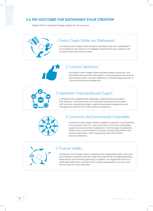#### **2.6 TEN OUTCOMES FOR SUSTAINABLE VALUE CREATION**

Umgeni Water's integrated strategy targets ten (10) outcomes

#### 1. Product Quality (Water and Wastewater)

Is achieved when Umgeni Water produces potable water and wastewater in full compliance with statutory and reliability requirements and consistent with customer and environmental needs.

#### 2. Customer Satisfaction

Is achieved when Umgeni Water provides reliable, responsive, and affordable services in line with explicit, customer-agreed service levels and receives timely customer feedback to maintain responsiveness to customer needs and emergencies.

#### 3. Stakeholder Understanding and Support

Is attained when Umgeni Water engenders understanding and support from statutory, contracted and non-contracted bodies for service levels, tariff structures, operating budgets, capital improvement programmes, risk management decisions and water resources adequacy.



#### 4. Community and Environmental Sustainability

Is achieved when Umgeni Water is explicitly cognisant of and attentive to the impacts it has on current and future community sustainability, supports socio-economic development, and manages its operations, infrastructure, and investments to protect, restore and enhance the natural environment, whilst using energy and other natural resources efficiently.

#### 5. Financial Viability

Is achieved when Umgeni Water understands the organisational life-cycle costs and maintains a balance between debt and assets while managing operating expenditures and increasing revenues. In addition, the organisation aims at a sustainable tariff that is consistent with customer expectations, recovers costs and provides for future expansion.

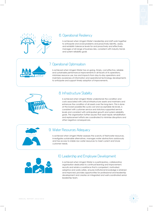



#### 6. Operational Resiliency

Is achieved when Umgeni Water's leadership and staff work together to anticipate and avoid problems and proactively identify, assess, and establish tolerance levels for and proactively and effectively manages a full range of business risks, consistent with industry trends and system reliability goals

#### 7. Operational Optimisation

Is achieved when Umgeni Water has on-going, timely, cost-effective, reliable and sustainable performance improvements in all facets of its operations, minimises resource use, loss and impacts from day-to-day operations and maintains awareness of information and operational technology developments to anticipate and support timely adoption of improvements.

# 8. Infrastructure Stability

Is achieved when Umgeni Water understands the condition and costs associated with critical infrastructure assets and maintains and enhances the condition of all assets over the long-term. This is done at the lowest possible life-cycle cost and acceptable risk levels, is consistent with customer service and statutory-supported service levels and consistent with anticipated growth and system reliability goals. The organisation further assures that asset repair, rehabilitation and replacement efforts are coordinated to minimise disruptions and other negative consequences.



#### 9. Water Resources Adequacy

Is achieved when Umgeni Water assesses the scarcity of freshwater resources, investigates sustainable alternatives, manages water abstractions assiduously and has access to stable raw water resources to meet current and future customer needs.



#### 1O. Leadership and Employee Development

Is achieved when Umgeni Water is a participatory, collaborative organisation dedicated to continual learning and improvement, recruits and retains a workforce that is competent, motivated, adaptive and works safely, ensures institutional knowledge is retained and improved; provides opportunities for professional and leadership development and creates an integrated and well-coordinated senior leadership team.

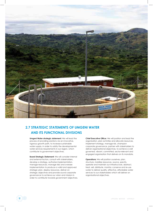

## **2.7 STRATEGIC STATEMENTS OF UMGENI WATER AND ITS FUNCTIONAL DIVISIONS**

**Umgeni Water strategic statement:** We will lead the process of providing solutions via an innovative, vigorous growth path, to increase sustainable water supply, in order to satisfy the developmental water services requirements in our region, which contribute to government objectives.

**Board Strategic Statement:** We will consider internal and external factors, consult with stakeholders, develop a strategy, authorise implementation, manage resources, manage risks and oversee implementation to produce a valid and approved strategic plan, deploy resources, deliver on strategic objectives and provide sound corporate governance to achieve our vision and mission in order to contribute towards government objectives. **Chief Executive Office:** We will position and lead the organisation, plan activities and allocate resources, implement strategy, manage risk, champion corporate governance, partner with stakeholders to deliver organisational objectives, to achieve a well governed, vibrant, committed, sector-relevant and engaged organisation that delivers on its mandate.

**Operations:** We will position ourselves, plan, structure, mobilise resources, source, specify, operate and maintain our infrastructure, abstract, treat, sell, distribute, monitor, conserve and re-use water to deliver quality, effective, affordable water services to our stakeholders which will deliver on organisational objectives.